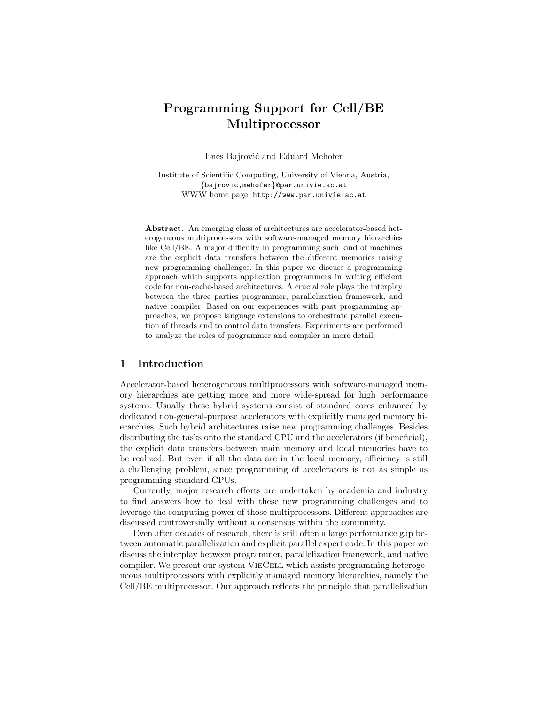# Programming Support for Cell/BE Multiprocessor

Enes Bajrović and Eduard Mehofer

Institute of Scientific Computing, University of Vienna, Austria, {bajrovic,mehofer}@par.univie.ac.at WWW home page: http://www.par.univie.ac.at

Abstract. An emerging class of architectures are accelerator-based heterogeneous multiprocessors with software-managed memory hierarchies like Cell/BE. A major difficulty in programming such kind of machines are the explicit data transfers between the different memories raising new programming challenges. In this paper we discuss a programming approach which supports application programmers in writing efficient code for non-cache-based architectures. A crucial role plays the interplay between the three parties programmer, parallelization framework, and native compiler. Based on our experiences with past programming approaches, we propose language extensions to orchestrate parallel execution of threads and to control data transfers. Experiments are performed to analyze the roles of programmer and compiler in more detail.

#### 1 Introduction

Accelerator-based heterogeneous multiprocessors with software-managed memory hierarchies are getting more and more wide-spread for high performance systems. Usually these hybrid systems consist of standard cores enhanced by dedicated non-general-purpose accelerators with explicitly managed memory hierarchies. Such hybrid architectures raise new programming challenges. Besides distributing the tasks onto the standard CPU and the accelerators (if beneficial), the explicit data transfers between main memory and local memories have to be realized. But even if all the data are in the local memory, efficiency is still a challenging problem, since programming of accelerators is not as simple as programming standard CPUs.

Currently, major research efforts are undertaken by academia and industry to find answers how to deal with these new programming challenges and to leverage the computing power of those multiprocessors. Different approaches are discussed controversially without a consensus within the community.

Even after decades of research, there is still often a large performance gap between automatic parallelization and explicit parallel expert code. In this paper we discuss the interplay between programmer, parallelization framework, and native compiler. We present our system VieCell which assists programming heterogeneous multiprocessors with explicitly managed memory hierarchies, namely the Cell/BE multiprocessor. Our approach reflects the principle that parallelization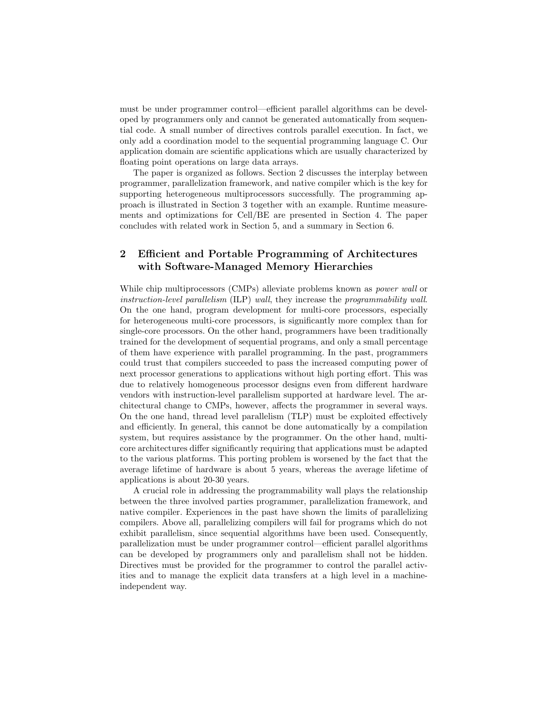must be under programmer control—efficient parallel algorithms can be developed by programmers only and cannot be generated automatically from sequential code. A small number of directives controls parallel execution. In fact, we only add a coordination model to the sequential programming language C. Our application domain are scientific applications which are usually characterized by floating point operations on large data arrays.

The paper is organized as follows. Section 2 discusses the interplay between programmer, parallelization framework, and native compiler which is the key for supporting heterogeneous multiprocessors successfully. The programming approach is illustrated in Section 3 together with an example. Runtime measurements and optimizations for Cell/BE are presented in Section 4. The paper concludes with related work in Section 5, and a summary in Section 6.

## 2 Efficient and Portable Programming of Architectures with Software-Managed Memory Hierarchies

While chip multiprocessors (CMPs) alleviate problems known as *power wall* or instruction-level parallelism (ILP) wall, they increase the programmability wall. On the one hand, program development for multi-core processors, especially for heterogeneous multi-core processors, is significantly more complex than for single-core processors. On the other hand, programmers have been traditionally trained for the development of sequential programs, and only a small percentage of them have experience with parallel programming. In the past, programmers could trust that compilers succeeded to pass the increased computing power of next processor generations to applications without high porting effort. This was due to relatively homogeneous processor designs even from different hardware vendors with instruction-level parallelism supported at hardware level. The architectural change to CMPs, however, affects the programmer in several ways. On the one hand, thread level parallelism (TLP) must be exploited effectively and efficiently. In general, this cannot be done automatically by a compilation system, but requires assistance by the programmer. On the other hand, multicore architectures differ significantly requiring that applications must be adapted to the various platforms. This porting problem is worsened by the fact that the average lifetime of hardware is about 5 years, whereas the average lifetime of applications is about 20-30 years.

A crucial role in addressing the programmability wall plays the relationship between the three involved parties programmer, parallelization framework, and native compiler. Experiences in the past have shown the limits of parallelizing compilers. Above all, parallelizing compilers will fail for programs which do not exhibit parallelism, since sequential algorithms have been used. Consequently, parallelization must be under programmer control—efficient parallel algorithms can be developed by programmers only and parallelism shall not be hidden. Directives must be provided for the programmer to control the parallel activities and to manage the explicit data transfers at a high level in a machineindependent way.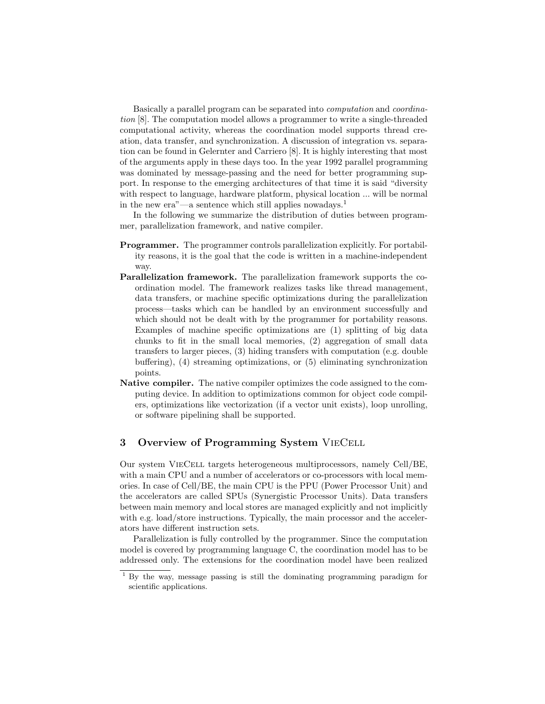Basically a parallel program can be separated into computation and coordination [8]. The computation model allows a programmer to write a single-threaded computational activity, whereas the coordination model supports thread creation, data transfer, and synchronization. A discussion of integration vs. separation can be found in Gelernter and Carriero [8]. It is highly interesting that most of the arguments apply in these days too. In the year 1992 parallel programming was dominated by message-passing and the need for better programming support. In response to the emerging architectures of that time it is said "diversity with respect to language, hardware platform, physical location ... will be normal in the new  $era''$ —a sentence which still applies nowadays.<sup>1</sup>

In the following we summarize the distribution of duties between programmer, parallelization framework, and native compiler.

- Programmer. The programmer controls parallelization explicitly. For portability reasons, it is the goal that the code is written in a machine-independent way.
- Parallelization framework. The parallelization framework supports the coordination model. The framework realizes tasks like thread management, data transfers, or machine specific optimizations during the parallelization process—tasks which can be handled by an environment successfully and which should not be dealt with by the programmer for portability reasons. Examples of machine specific optimizations are (1) splitting of big data chunks to fit in the small local memories, (2) aggregation of small data transfers to larger pieces, (3) hiding transfers with computation (e.g. double buffering), (4) streaming optimizations, or (5) eliminating synchronization points.
- Native compiler. The native compiler optimizes the code assigned to the computing device. In addition to optimizations common for object code compilers, optimizations like vectorization (if a vector unit exists), loop unrolling, or software pipelining shall be supported.

## 3 Overview of Programming System VieCell

Our system VieCell targets heterogeneous multiprocessors, namely Cell/BE, with a main CPU and a number of accelerators or co-processors with local memories. In case of Cell/BE, the main CPU is the PPU (Power Processor Unit) and the accelerators are called SPUs (Synergistic Processor Units). Data transfers between main memory and local stores are managed explicitly and not implicitly with e.g. load/store instructions. Typically, the main processor and the accelerators have different instruction sets.

Parallelization is fully controlled by the programmer. Since the computation model is covered by programming language C, the coordination model has to be addressed only. The extensions for the coordination model have been realized

<sup>1</sup> By the way, message passing is still the dominating programming paradigm for scientific applications.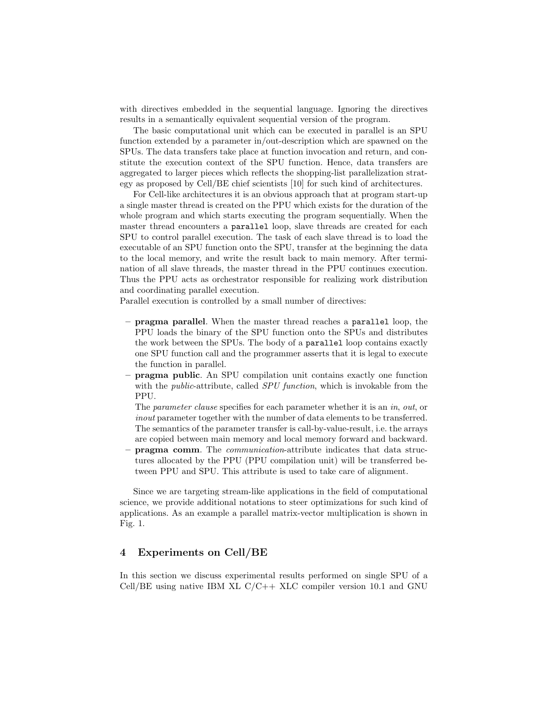with directives embedded in the sequential language. Ignoring the directives results in a semantically equivalent sequential version of the program.

The basic computational unit which can be executed in parallel is an SPU function extended by a parameter in/out-description which are spawned on the SPUs. The data transfers take place at function invocation and return, and constitute the execution context of the SPU function. Hence, data transfers are aggregated to larger pieces which reflects the shopping-list parallelization strategy as proposed by Cell/BE chief scientists [10] for such kind of architectures.

For Cell-like architectures it is an obvious approach that at program start-up a single master thread is created on the PPU which exists for the duration of the whole program and which starts executing the program sequentially. When the master thread encounters a parallel loop, slave threads are created for each SPU to control parallel execution. The task of each slave thread is to load the executable of an SPU function onto the SPU, transfer at the beginning the data to the local memory, and write the result back to main memory. After termination of all slave threads, the master thread in the PPU continues execution. Thus the PPU acts as orchestrator responsible for realizing work distribution and coordinating parallel execution.

Parallel execution is controlled by a small number of directives:

- pragma parallel. When the master thread reaches a parallel loop, the PPU loads the binary of the SPU function onto the SPUs and distributes the work between the SPUs. The body of a parallel loop contains exactly one SPU function call and the programmer asserts that it is legal to execute the function in parallel.
- pragma public. An SPU compilation unit contains exactly one function with the *public*-attribute, called *SPU function*, which is invokable from the PPU.

The *parameter clause* specifies for each parameter whether it is an *in*, *out*, or inout parameter together with the number of data elements to be transferred. The semantics of the parameter transfer is call-by-value-result, i.e. the arrays are copied between main memory and local memory forward and backward.

– pragma comm. The communication-attribute indicates that data structures allocated by the PPU (PPU compilation unit) will be transferred between PPU and SPU. This attribute is used to take care of alignment.

Since we are targeting stream-like applications in the field of computational science, we provide additional notations to steer optimizations for such kind of applications. As an example a parallel matrix-vector multiplication is shown in Fig. 1.

## 4 Experiments on Cell/BE

In this section we discuss experimental results performed on single SPU of a Cell/BE using native IBM XL  $C/C++$  XLC compiler version 10.1 and GNU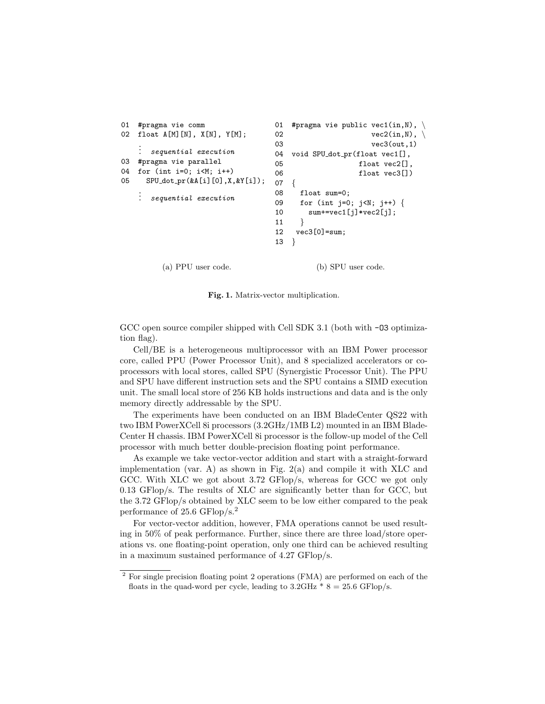```
01 #pragma vie comm
02 float A[M][N], X[N], Y[M];
   .
   .
      . sequential execution
03 #pragma vie parallel
04 for (int i=0; i<M; i++)
05 SPU dot pr(&A[i][0],X,&Y[i]);
   .
   .
     . sequential execution
                               01 #pragma vie public vec1(in,N), \
                               02 vec2(in, N), \quad03 vec3(out, 1)
                               04 void SPU_dot_pr(float vec1[],
                               05 float vec2[],
                               06 float vec3[])
                               07 {
                               08 float sum=0;
                               09 for (int j=0; j<N; j++) {
                               10 sum+=vec1[j]*vec2[j];
                               11 }
                               12 vec3[0]=sum;
                               13 }
```
Fig. 1. Matrix-vector multiplication.

(a) PPU user code. (b) SPU user code.

GCC open source compiler shipped with Cell SDK 3.1 (both with  $-03$  optimization flag).

Cell/BE is a heterogeneous multiprocessor with an IBM Power processor core, called PPU (Power Processor Unit), and 8 specialized accelerators or coprocessors with local stores, called SPU (Synergistic Processor Unit). The PPU and SPU have different instruction sets and the SPU contains a SIMD execution unit. The small local store of 256 KB holds instructions and data and is the only memory directly addressable by the SPU.

The experiments have been conducted on an IBM BladeCenter QS22 with two IBM PowerXCell 8i processors (3.2GHz/1MB L2) mounted in an IBM Blade-Center H chassis. IBM PowerXCell 8i processor is the follow-up model of the Cell processor with much better double-precision floating point performance.

As example we take vector-vector addition and start with a straight-forward implementation (var. A) as shown in Fig.  $2(a)$  and compile it with XLC and GCC. With XLC we got about 3.72 GFlop/s, whereas for GCC we got only 0.13 GFlop/s. The results of XLC are significantly better than for GCC, but the 3.72 GFlop/s obtained by XLC seem to be low either compared to the peak performance of 25.6 GFlop/s.<sup>2</sup>

For vector-vector addition, however, FMA operations cannot be used resulting in 50% of peak performance. Further, since there are three load/store operations vs. one floating-point operation, only one third can be achieved resulting in a maximum sustained performance of 4.27 GFlop/s.

<sup>2</sup> For single precision floating point 2 operations (FMA) are performed on each of the floats in the quad-word per cycle, leading to  $3.2\text{GHz}$  \*  $8 = 25.6 \text{GFlop/s}.$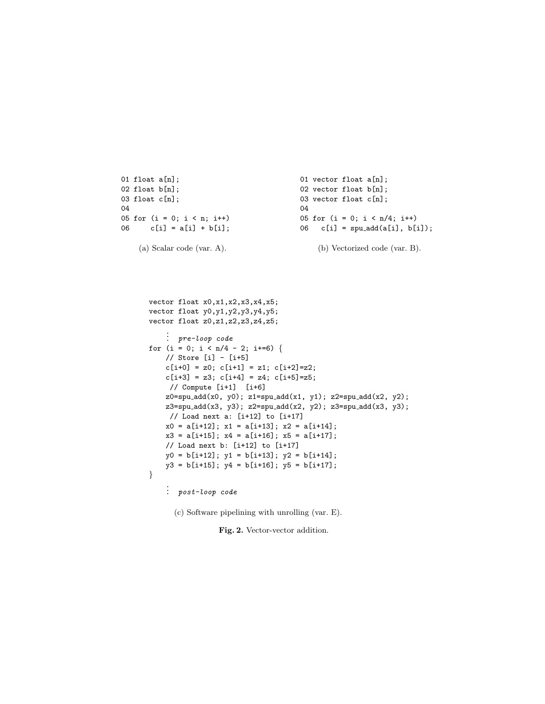```
01 float a[n];
02 float b[n];
03 float c[n];
04
05 for (i = 0; i < n; i++)06 c[i] = a[i] + b[i];(a) Scalar code (var. A).
                                            01 vector float a[n];
                                            02 vector float b[n];
                                            03 vector float c[n];
                                            04
                                           05 for (i = 0; i < n/4; i++)06 c[i] = \text{spu.add}(a[i], b[i]);(b) Vectorized code (var. B).
```

```
vector float x0,x1,x2,x3,x4,x5;
vector float y0,y1,y2,y3,y4,y5;
vector float z0,z1,z2,z3,z4,z5;
    .
.
. pre-loop code
for (i = 0; i < n/4 - 2; i +=6) {
    // Store [i] - [i+5]
    c[i+0] = z0; c[i+1] = z1; c[i+2] = z2;c[i+3] = z3; c[i+4] = z4; c[i+5] = z5;// Compute [i+1] [i+6]
    z0 = spu\_add(x0, y0); z1 = spu\_add(x1, y1); z2 = spu\_add(x2, y2);z3=spu add(x3, y3); z2=spu add(x2, y2); z3=spu add(x3, y3);
    // Load next a: [i+12] to [i+17]
    x0 = a[i+12]; x1 = a[i+13]; x2 = a[i+14];
    x3 = a[i+15]; x4 = a[i+16]; x5 = a[i+17];
    // Load next b: [i+12] to [i+17]
    y0 = b[i+12]; y1 = b[i+13]; y2 = b[i+14];
    y3 = b[i+15]; y4 = b[i+16]; y5 = b[i+17];
}
```
. . . post-loop code

(c) Software pipelining with unrolling (var. E).

Fig. 2. Vector-vector addition.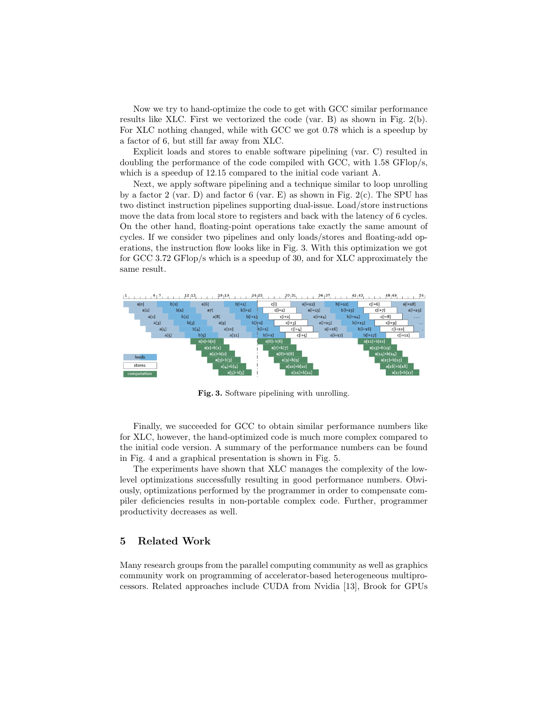Now we try to hand-optimize the code to get with GCC similar performance results like XLC. First we vectorized the code (var. B) as shown in Fig. 2(b). For XLC nothing changed, while with GCC we got 0.78 which is a speedup by a factor of 6, but still far away from XLC.

Explicit loads and stores to enable software pipelining (var. C) resulted in doubling the performance of the code compiled with GCC, with 1.58 GFlop/s, which is a speedup of 12.15 compared to the initial code variant A.

Next, we apply software pipelining and a technique similar to loop unrolling by a factor 2 (var. D) and factor 6 (var. E) as shown in Fig.  $2(c)$ . The SPU has two distinct instruction pipelines supporting dual-issue. Load/store instructions move the data from local store to registers and back with the latency of 6 cycles. On the other hand, floating-point operations take exactly the same amount of cycles. If we consider two pipelines and only loads/stores and floating-add operations, the instruction flow looks like in Fig. 3. With this optimization we got for GCC 3.72 GFlop/s which is a speedup of 30, and for XLC approximately the same result.



Fig. 3. Software pipelining with unrolling.

Finally, we succeeded for GCC to obtain similar performance numbers like for XLC, however, the hand-optimized code is much more complex compared to the initial code version. A summary of the performance numbers can be found in Fig. 4 and a graphical presentation is shown in Fig. 5.

The experiments have shown that XLC manages the complexity of the lowlevel optimizations successfully resulting in good performance numbers. Obviously, optimizations performed by the programmer in order to compensate compiler deficiencies results in non-portable complex code. Further, programmer productivity decreases as well.

#### 5 Related Work

Many research groups from the parallel computing community as well as graphics community work on programming of accelerator-based heterogeneous multiprocessors. Related approaches include CUDA from Nvidia [13], Brook for GPUs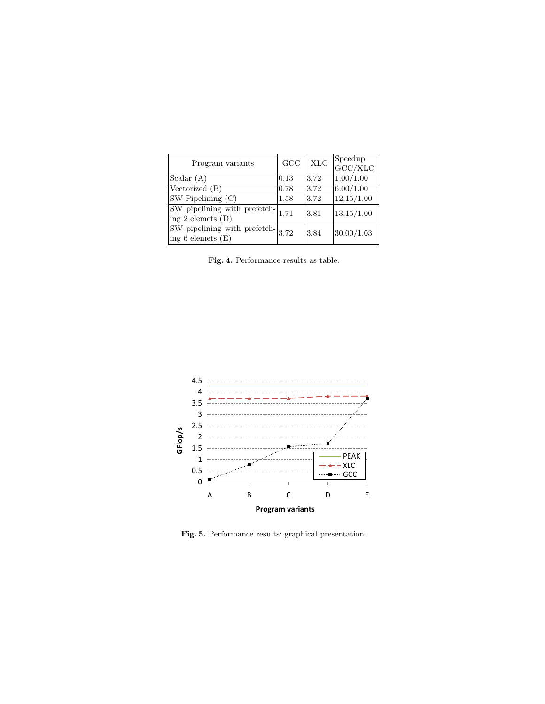| Program variants                                                      | GCC  | $\rm XLC$ | $\begin{array}{c}\n\text{Speedup} \\ \text{GCC/XLC}\n\end{array}$ |
|-----------------------------------------------------------------------|------|-----------|-------------------------------------------------------------------|
| $\text{Scalar}(\mathbf{A})$                                           | 0.13 | 3.72      | 1.00/1.00                                                         |
| Vectorized (B)                                                        | 0.78 | 3.72      | 6.00/1.00                                                         |
| $SW$ Pipelining $(C)$                                                 | 1.58 | 3.72      | 12.15/1.00                                                        |
| SW pipelining with prefetch-<br>$\frac{1}{1.71}$<br>ing 2 elemets (D) |      | 3.81      | 13.15/1.00                                                        |
|                                                                       |      | 3.84      | 30.00/1.03                                                        |

Fig. 4. Performance results as table.



Fig. 5. Performance results: graphical presentation.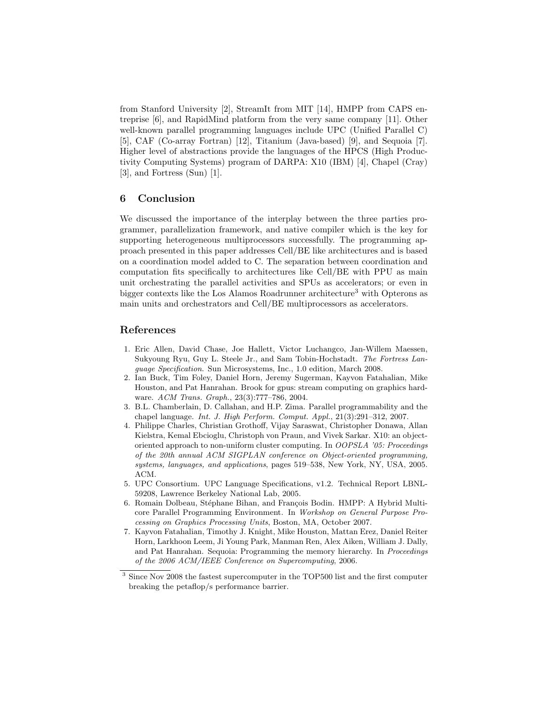from Stanford University [2], StreamIt from MIT [14], HMPP from CAPS entreprise [6], and RapidMind platform from the very same company [11]. Other well-known parallel programming languages include UPC (Unified Parallel C) [5], CAF (Co-array Fortran) [12], Titanium (Java-based) [9], and Sequoia [7]. Higher level of abstractions provide the languages of the HPCS (High Productivity Computing Systems) program of DARPA: X10 (IBM) [4], Chapel (Cray) [3], and Fortress (Sun) [1].

## 6 Conclusion

We discussed the importance of the interplay between the three parties programmer, parallelization framework, and native compiler which is the key for supporting heterogeneous multiprocessors successfully. The programming approach presented in this paper addresses Cell/BE like architectures and is based on a coordination model added to C. The separation between coordination and computation fits specifically to architectures like Cell/BE with PPU as main unit orchestrating the parallel activities and SPUs as accelerators; or even in bigger contexts like the Los Alamos Roadrunner architecture<sup>3</sup> with Opterons as main units and orchestrators and Cell/BE multiprocessors as accelerators.

### References

- 1. Eric Allen, David Chase, Joe Hallett, Victor Luchangco, Jan-Willem Maessen, Sukyoung Ryu, Guy L. Steele Jr., and Sam Tobin-Hochstadt. The Fortress Language Specification. Sun Microsystems, Inc., 1.0 edition, March 2008.
- 2. Ian Buck, Tim Foley, Daniel Horn, Jeremy Sugerman, Kayvon Fatahalian, Mike Houston, and Pat Hanrahan. Brook for gpus: stream computing on graphics hardware. ACM Trans. Graph., 23(3):777–786, 2004.
- 3. B.L. Chamberlain, D. Callahan, and H.P. Zima. Parallel programmability and the chapel language. Int. J. High Perform. Comput. Appl., 21(3):291–312, 2007.
- 4. Philippe Charles, Christian Grothoff, Vijay Saraswat, Christopher Donawa, Allan Kielstra, Kemal Ebcioglu, Christoph von Praun, and Vivek Sarkar. X10: an objectoriented approach to non-uniform cluster computing. In OOPSLA '05: Proceedings of the 20th annual ACM SIGPLAN conference on Object-oriented programming, systems, languages, and applications, pages 519–538, New York, NY, USA, 2005. ACM.
- 5. UPC Consortium. UPC Language Specifications, v1.2. Technical Report LBNL-59208, Lawrence Berkeley National Lab, 2005.
- 6. Romain Dolbeau, Stéphane Bihan, and François Bodin. HMPP: A Hybrid Multicore Parallel Programming Environment. In Workshop on General Purpose Processing on Graphics Processing Units, Boston, MA, October 2007.
- 7. Kayvon Fatahalian, Timothy J. Knight, Mike Houston, Mattan Erez, Daniel Reiter Horn, Larkhoon Leem, Ji Young Park, Manman Ren, Alex Aiken, William J. Dally, and Pat Hanrahan. Sequoia: Programming the memory hierarchy. In Proceedings of the 2006 ACM/IEEE Conference on Supercomputing, 2006.

 $^3$  Since Nov 2008 the fastest supercomputer in the TOP500 list and the first computer breaking the petaflop/s performance barrier.